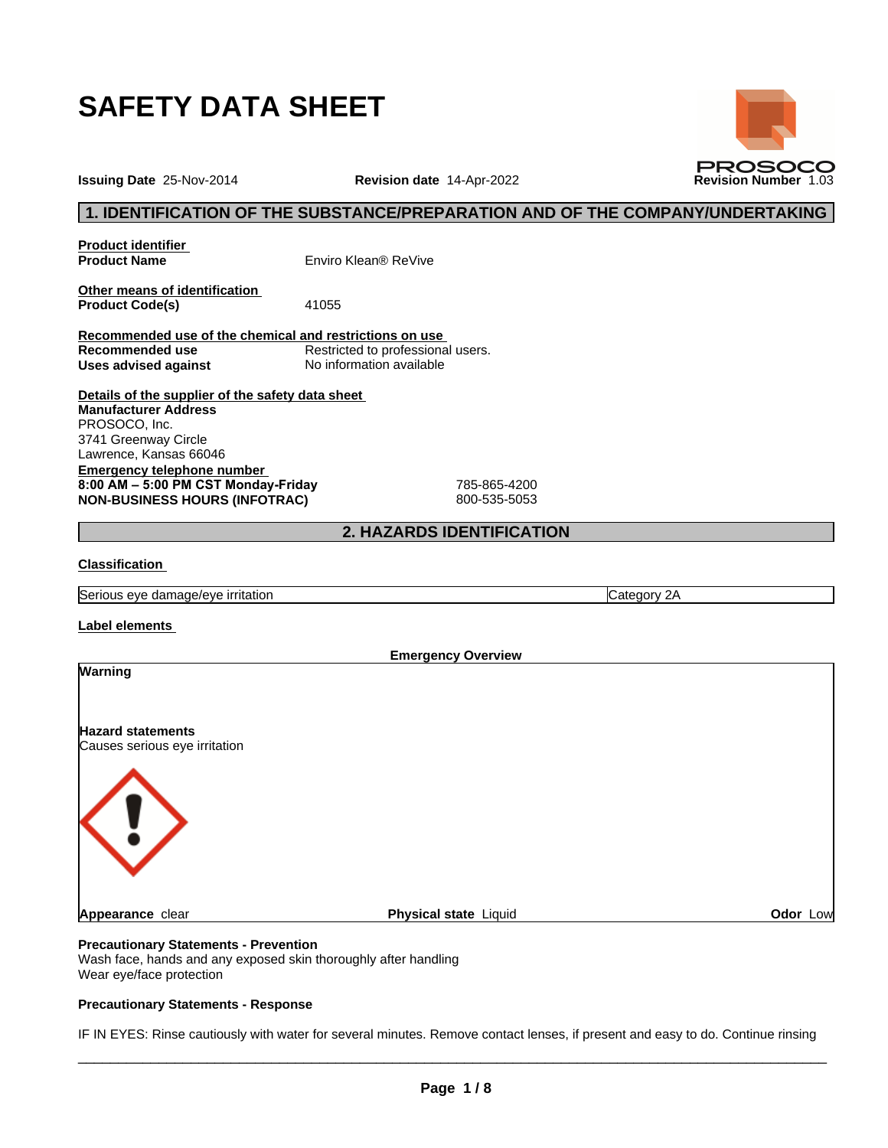

**Issuing Date** 25-Nov-2014 **Revision date** 14-Apr-2022 **Revision Number** 1.03

## **1. IDENTIFICATION OF THE SUBSTANCE/PREPARATION AND OF THE COMPANY/UNDERTAKING**

**PROSOCO** 

**Product identifier**

**Product Name** Enviro Klean® ReVive

**Other means of identification Product Code(s)** 41055

**Recommended use of the chemical and restrictions on use Restricted to professional users. Uses advised against** No information available

**Details of the supplier of the safety data sheet Emergency telephone number 8:00AM–5:00PMCSTMonday-Friday** 785-865-4200 **NON-BUSINESS HOURS (INFOTRAC)** 800-535-5053 **Manufacturer Address** PROSOCO, Inc. 3741 Greenway Circle Lawrence, Kansas 66046

# **2. HAZARDS IDENTIFICATION**

## **Classification**

Serious eye damage/eye irritation **Category 2A** Category 2A

**Label elements**

| <b>Warning</b><br><b>Hazard statements</b><br>Causes serious eye irritation |  |
|-----------------------------------------------------------------------------|--|
|                                                                             |  |
|                                                                             |  |
|                                                                             |  |
| Physical state Liquid<br>Odor Low<br>Appearance clear                       |  |

## **Precautionary Statements - Prevention**

Wash face, hands and any exposed skin thoroughly after handling Wear eye/face protection

## **Precautionary Statements - Response**

IF IN EYES: Rinse cautiously with water for several minutes. Remove contact lenses, if present and easy to do. Continue rinsing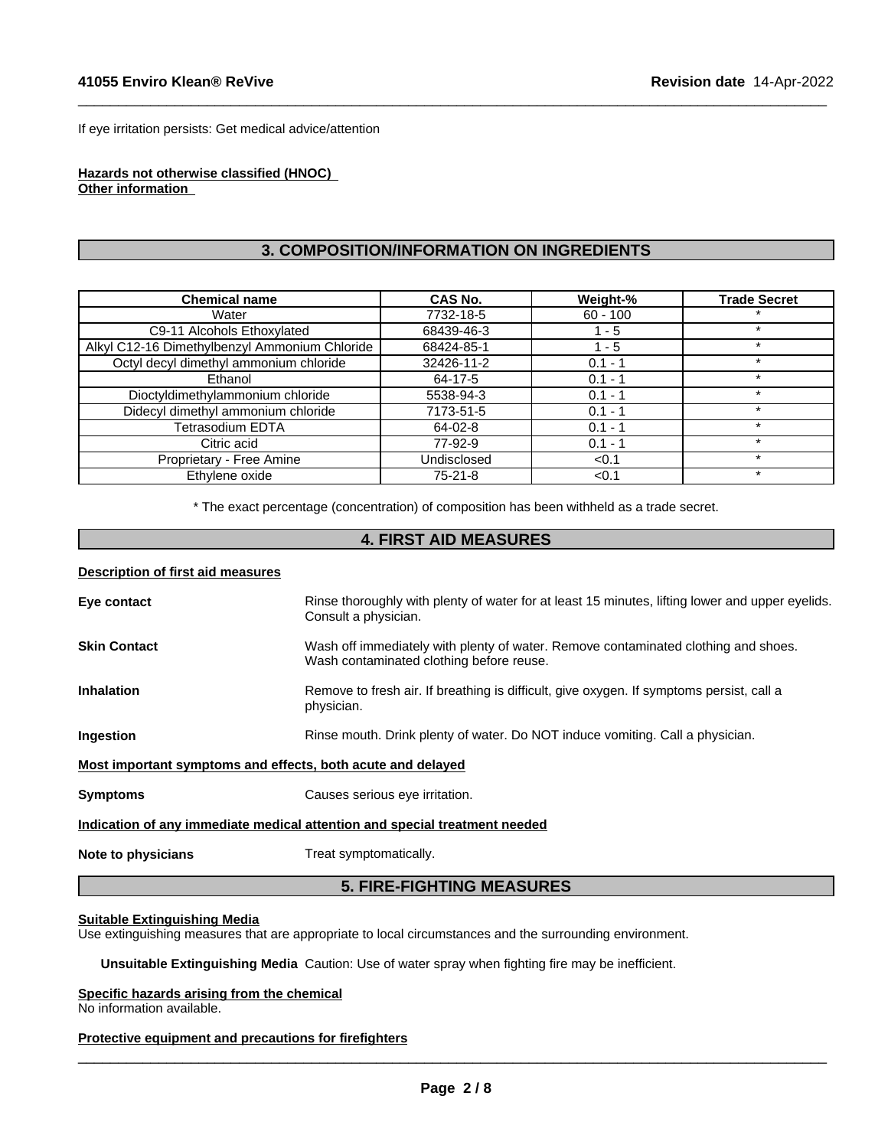If eye irritation persists: Get medical advice/attention

#### **Hazards not otherwise classified (HNOC) Other information**

# **3. COMPOSITION/INFORMATION ON INGREDIENTS**

 $\_$  ,  $\_$  ,  $\_$  ,  $\_$  ,  $\_$  ,  $\_$  ,  $\_$  ,  $\_$  ,  $\_$  ,  $\_$  ,  $\_$  ,  $\_$  ,  $\_$  ,  $\_$  ,  $\_$  ,  $\_$  ,  $\_$  ,  $\_$  ,  $\_$  ,  $\_$  ,  $\_$  ,  $\_$  ,  $\_$  ,  $\_$  ,  $\_$  ,  $\_$  ,  $\_$  ,  $\_$  ,  $\_$  ,  $\_$  ,  $\_$  ,  $\_$  ,  $\_$  ,  $\_$  ,  $\_$  ,  $\_$  ,  $\_$  ,

| <b>Chemical name</b>                          | CAS No.     | Weight-%   | <b>Trade Secret</b> |
|-----------------------------------------------|-------------|------------|---------------------|
| Water                                         | 7732-18-5   | $60 - 100$ |                     |
| C9-11 Alcohols Ethoxylated                    | 68439-46-3  | - 5        |                     |
| Alkyl C12-16 Dimethylbenzyl Ammonium Chloride | 68424-85-1  | - 5        |                     |
| Octyl decyl dimethyl ammonium chloride        | 32426-11-2  | $0.1 - 1$  | *                   |
| Ethanol                                       | 64-17-5     | $0.1 - 1$  |                     |
| Dioctyldimethylammonium chloride              | 5538-94-3   | $0.1 - 1$  |                     |
| Didecyl dimethyl ammonium chloride            | 7173-51-5   | $0.1 - 1$  |                     |
| Tetrasodium EDTA                              | 64-02-8     | $0.1 - 1$  | $\ast$              |
| Citric acid                                   | 77-92-9     | $0.1 - 1$  |                     |
| Proprietary - Free Amine                      | Undisclosed | < 0.1      | $\star$             |
| Ethylene oxide                                | $75-21-8$   | < 0.1      | $\star$             |

\* The exact percentage (concentration) of composition has been withheld as a trade secret.

# **4. FIRST AID MEASURES**

#### **Description of first aid measures**

| <b>5. FIRE-FIGHTING MEASURES</b>                                           |                                                                                                                                |  |  |  |  |
|----------------------------------------------------------------------------|--------------------------------------------------------------------------------------------------------------------------------|--|--|--|--|
| Note to physicians                                                         | Treat symptomatically.                                                                                                         |  |  |  |  |
| Indication of any immediate medical attention and special treatment needed |                                                                                                                                |  |  |  |  |
| <b>Symptoms</b>                                                            | Causes serious eye irritation.                                                                                                 |  |  |  |  |
| Most important symptoms and effects, both acute and delayed                |                                                                                                                                |  |  |  |  |
| <b>Ingestion</b>                                                           | Rinse mouth. Drink plenty of water. Do NOT induce vomiting. Call a physician.                                                  |  |  |  |  |
| <b>Inhalation</b>                                                          | Remove to fresh air. If breathing is difficult, give oxygen. If symptoms persist, call a<br>physician.                         |  |  |  |  |
| <b>Skin Contact</b>                                                        | Wash off immediately with plenty of water. Remove contaminated clothing and shoes.<br>Wash contaminated clothing before reuse. |  |  |  |  |
| Eye contact                                                                | Rinse thoroughly with plenty of water for at least 15 minutes, lifting lower and upper eyelids.<br>Consult a physician.        |  |  |  |  |
|                                                                            |                                                                                                                                |  |  |  |  |

## **Suitable Extinguishing Media**

Use extinguishing measures that are appropriate to local circumstances and the surrounding environment.

**Unsuitable Extinguishing Media** Caution: Use of water spray when fighting fire may be inefficient.

## **Specific hazards arising from the chemical**

No information available.

## **Protective equipment and precautions for firefighters**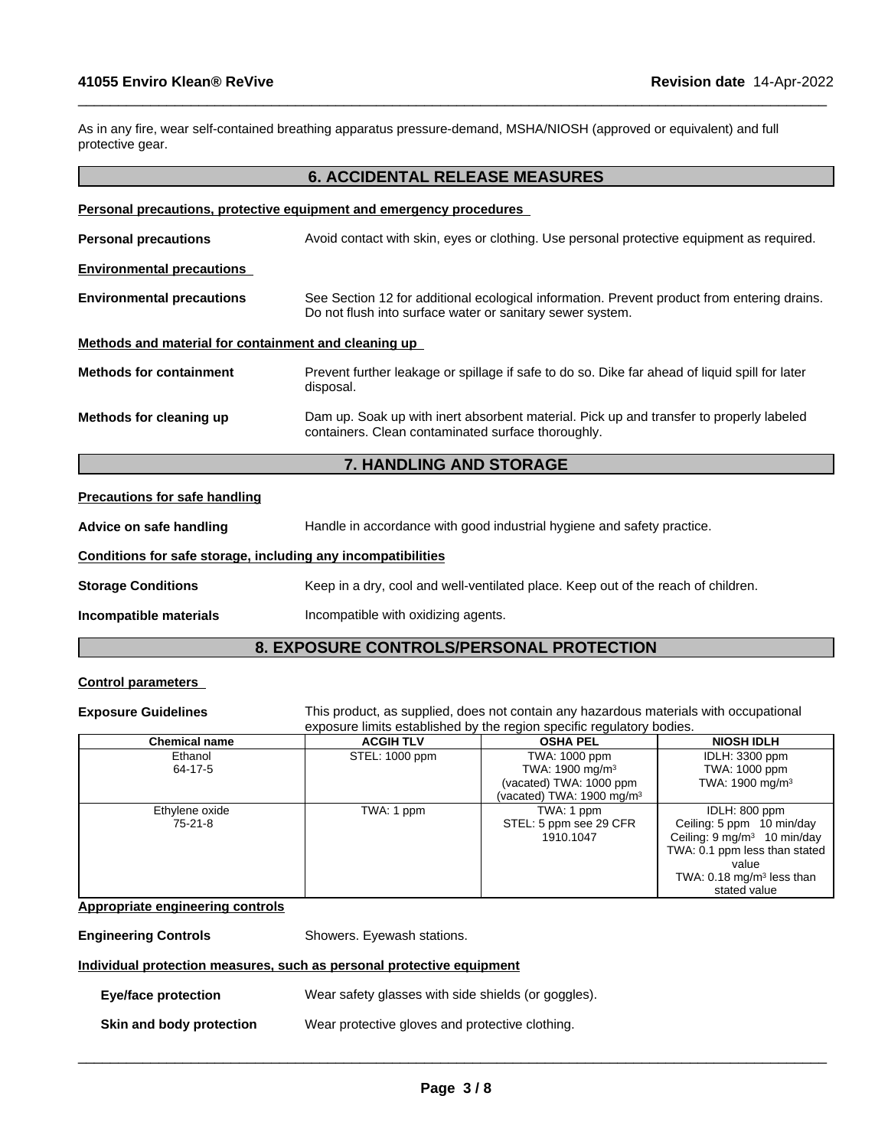As in any fire, wear self-contained breathing apparatus pressure-demand, MSHA/NIOSH (approved or equivalent) and full protective gear.

 $\_$  ,  $\_$  ,  $\_$  ,  $\_$  ,  $\_$  ,  $\_$  ,  $\_$  ,  $\_$  ,  $\_$  ,  $\_$  ,  $\_$  ,  $\_$  ,  $\_$  ,  $\_$  ,  $\_$  ,  $\_$  ,  $\_$  ,  $\_$  ,  $\_$  ,  $\_$  ,  $\_$  ,  $\_$  ,  $\_$  ,  $\_$  ,  $\_$  ,  $\_$  ,  $\_$  ,  $\_$  ,  $\_$  ,  $\_$  ,  $\_$  ,  $\_$  ,  $\_$  ,  $\_$  ,  $\_$  ,  $\_$  ,  $\_$  ,

|                                                      | <b>6. ACCIDENTAL RELEASE MEASURES</b>                                                                                                                    |
|------------------------------------------------------|----------------------------------------------------------------------------------------------------------------------------------------------------------|
|                                                      | <b>Personal precautions, protective equipment and emergency procedures</b>                                                                               |
| <b>Personal precautions</b>                          | Avoid contact with skin, eyes or clothing. Use personal protective equipment as required.                                                                |
| <b>Environmental precautions</b>                     |                                                                                                                                                          |
| <b>Environmental precautions</b>                     | See Section 12 for additional ecological information. Prevent product from entering drains.<br>Do not flush into surface water or sanitary sewer system. |
| Methods and material for containment and cleaning up |                                                                                                                                                          |
| <b>Methods for containment</b>                       | Prevent further leakage or spillage if safe to do so. Dike far ahead of liquid spill for later<br>disposal.                                              |
| Methods for cleaning up                              | Dam up. Soak up with inert absorbent material. Pick up and transfer to properly labeled<br>containers. Clean contaminated surface thoroughly.            |
|                                                      | 7. HANDLING AND STORAGE                                                                                                                                  |

#### **Precautions for safe handling**

**Advice on safe handling** Handle in accordance with good industrial hygiene and safety practice.

#### **Conditions for safe storage, including any incompatibilities**

**Storage Conditions** Keep in a dry, cool and well-ventilated place. Keep out of the reach of children.

**Incompatible materials Incompatible with oxidizing agents.** 

# **8. EXPOSURE CONTROLS/PERSONAL PROTECTION**

## **Control parameters**

**Exposure Guidelines** This product, as supplied, does not contain any hazardous materials with occupational exposure limits established by the region specific regulatory bodies.

| Chemical name  | <b>ACGIH TLV</b> | <b>OSHA PEL</b>                       | <b>NIOSH IDLH</b>                      |
|----------------|------------------|---------------------------------------|----------------------------------------|
| Ethanol        | STEL: 1000 ppm   | TWA: 1000 ppm                         | IDLH: 3300 ppm                         |
| 64-17-5        |                  | TWA: 1900 mg/m <sup>3</sup>           | TWA: 1000 ppm                          |
|                |                  | (vacated) TWA: 1000 ppm               | TWA: 1900 mg/m <sup>3</sup>            |
|                |                  | (vacated) TWA: 1900 mg/m <sup>3</sup> |                                        |
| Ethylene oxide | TWA: 1 ppm       | TWA: 1 ppm                            | IDLH: 800 ppm                          |
| 75-21-8        |                  | STEL: 5 ppm see 29 CFR                | Ceiling: 5 ppm 10 min/day              |
|                |                  | 1910.1047                             | Ceiling: $9 \text{ mg/m}^3$ 10 min/day |
|                |                  |                                       | TWA: 0.1 ppm less than stated          |
|                |                  |                                       | value                                  |
|                |                  |                                       | TWA: $0.18 \text{ mg/m}^3$ less than   |
|                |                  |                                       | stated value                           |

**Appropriate engineering controls**

**Engineering Controls** Showers. Eyewash stations.

## **Individual protection measures, such as personal protective equipment**

**Eye/face protection** Wear safety glasses with side shields (or goggles).

**Skin and body protection** Wear protective gloves and protective clothing.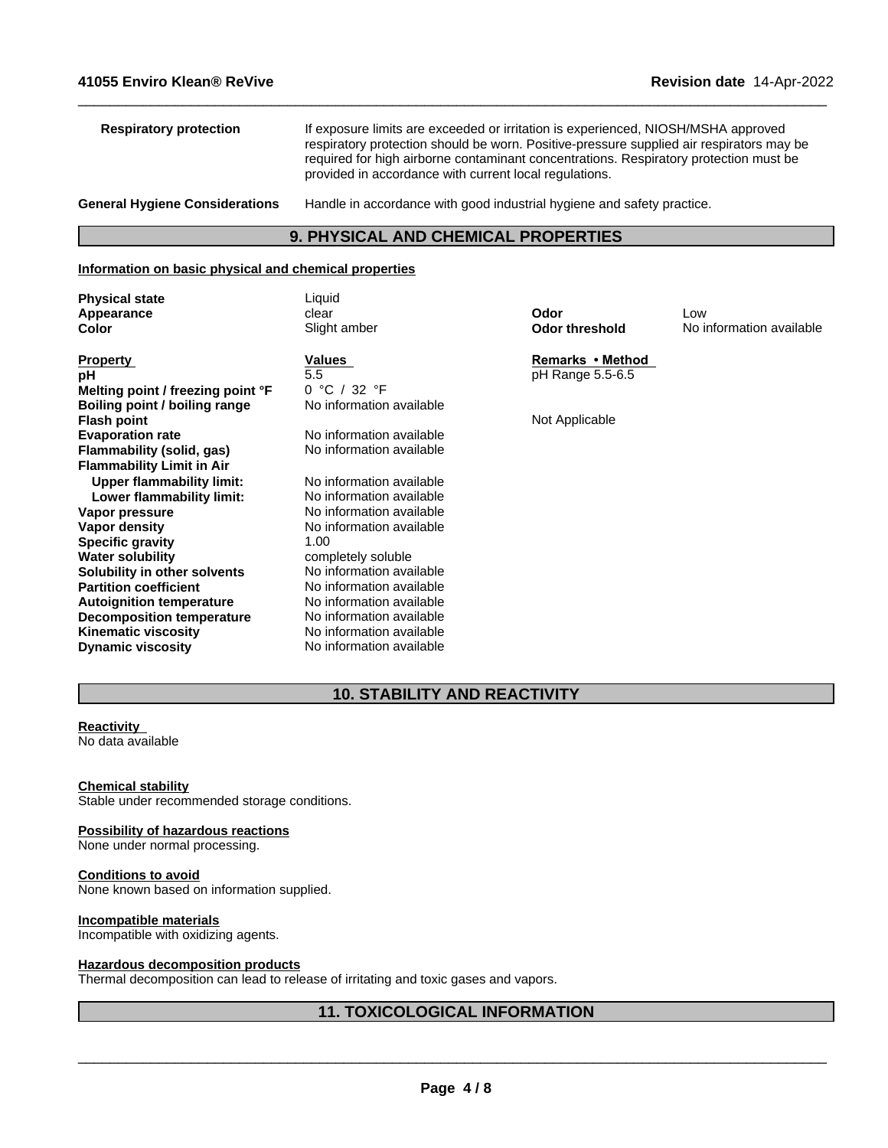| <b>Respiratory protection</b>         | If exposure limits are exceeded or irritation is experienced, NIOSH/MSHA approved<br>respiratory protection should be worn. Positive-pressure supplied air respirators may be<br>required for high airborne contaminant concentrations. Respiratory protection must be<br>provided in accordance with current local regulations. |
|---------------------------------------|----------------------------------------------------------------------------------------------------------------------------------------------------------------------------------------------------------------------------------------------------------------------------------------------------------------------------------|
| <b>General Hygiene Considerations</b> | Handle in accordance with good industrial hygiene and safety practice.                                                                                                                                                                                                                                                           |

 $\_$  ,  $\_$  ,  $\_$  ,  $\_$  ,  $\_$  ,  $\_$  ,  $\_$  ,  $\_$  ,  $\_$  ,  $\_$  ,  $\_$  ,  $\_$  ,  $\_$  ,  $\_$  ,  $\_$  ,  $\_$  ,  $\_$  ,  $\_$  ,  $\_$  ,  $\_$  ,  $\_$  ,  $\_$  ,  $\_$  ,  $\_$  ,  $\_$  ,  $\_$  ,  $\_$  ,  $\_$  ,  $\_$  ,  $\_$  ,  $\_$  ,  $\_$  ,  $\_$  ,  $\_$  ,  $\_$  ,  $\_$  ,  $\_$  ,

# **9. PHYSICAL AND CHEMICAL PROPERTIES**

#### **Information on basic physical and chemical properties**

**Physical state** Liquid

**Property Remarks Property Remarks Method pH**<br> **Melting point / freezing point °F**  $\qquad 0$  °C / 32 °F<br> **Melting point / freezing point °F**  $\qquad 0$  °C / 32 °F **Melting point / freezing point °F Boiling point / boiling range** No information available **Flash point** Not Applicable Not Applicable Not Applicable Not Applicable Not Applicable **Evaporation rate Reset Constructs** No information available<br> **Flammability (solid. gas)** No information available **Flammability** (solid, gas) **Flammability Limit in Air Upper flammability limit:** No information available **Lower flammability limit:** No information available **Vapor pressure**<br> **Vapor density**<br> **Vapor density**<br> **Vapor density**<br> **No information available Specific gravity**<br>Water solubility **Solubility in other solvents** No information available<br> **Partition coefficient** No information available **Autoignition temperature No information available**<br> **Decomposition temperature No information available Decomposition temperature**<br>**Kinematic viscosity Dynamic viscosity** No information available

**No information available**<br>1 00 completely soluble No information available<br>No information available **Kinematic viscosity** No information available

**Appearance** clear **Odor** Low **Color** Slight amber **Odor threshold** No information available

# **10. STABILITY AND REACTIVITY**

## **Reactivity**

No data available

## **Chemical stability**

Stable under recommended storage conditions.

## **Possibility of hazardous reactions**

None under normal processing.

## **Conditions to avoid** None known based on information supplied.

## **Incompatible materials**

Incompatible with oxidizing agents.

## **Hazardous decomposition products**

Thermal decomposition can lead to release of irritating and toxic gases and vapors.

# **11. TOXICOLOGICAL INFORMATION**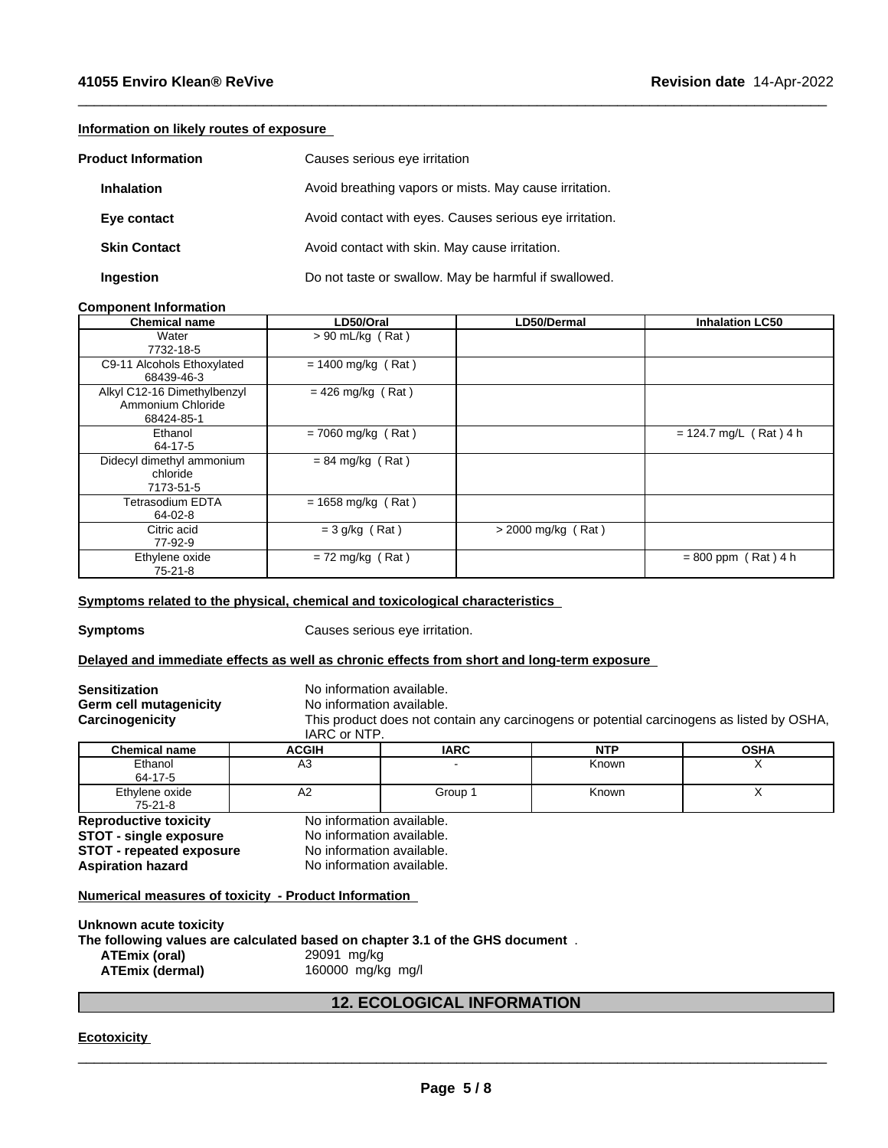## **Information on likely routes of exposure**

|                   | <b>Product Information</b> | Causes serious eye irritation                           |
|-------------------|----------------------------|---------------------------------------------------------|
| <b>Inhalation</b> |                            | Avoid breathing vapors or mists. May cause irritation.  |
| Eye contact       |                            | Avoid contact with eyes. Causes serious eye irritation. |
|                   | <b>Skin Contact</b>        | Avoid contact with skin. May cause irritation.          |
| Ingestion         |                            | Do not taste or swallow. May be harmful if swallowed.   |

## **Component Information**

| <b>Chemical name</b>                                           | LD50/Oral            | <b>LD50/Dermal</b>   | <b>Inhalation LC50</b>   |
|----------------------------------------------------------------|----------------------|----------------------|--------------------------|
| Water<br>7732-18-5                                             | $> 90$ mL/kg (Rat)   |                      |                          |
| C9-11 Alcohols Ethoxylated<br>68439-46-3                       | $= 1400$ mg/kg (Rat) |                      |                          |
| Alkyl C12-16 Dimethylbenzyl<br>Ammonium Chloride<br>68424-85-1 | $= 426$ mg/kg (Rat)  |                      |                          |
| Ethanol<br>64-17-5                                             | $= 7060$ mg/kg (Rat) |                      | $= 124.7$ mg/L (Rat) 4 h |
| Didecyl dimethyl ammonium<br>chloride<br>7173-51-5             | $= 84$ mg/kg (Rat)   |                      |                          |
| <b>Tetrasodium EDTA</b><br>64-02-8                             | $= 1658$ mg/kg (Rat) |                      |                          |
| Citric acid<br>77-92-9                                         | $= 3$ g/kg (Rat)     | $>$ 2000 mg/kg (Rat) |                          |
| Ethylene oxide<br>$75 - 21 - 8$                                | $= 72$ mg/kg (Rat)   |                      | $= 800$ ppm (Rat) 4 h    |

 $\_$  ,  $\_$  ,  $\_$  ,  $\_$  ,  $\_$  ,  $\_$  ,  $\_$  ,  $\_$  ,  $\_$  ,  $\_$  ,  $\_$  ,  $\_$  ,  $\_$  ,  $\_$  ,  $\_$  ,  $\_$  ,  $\_$  ,  $\_$  ,  $\_$  ,  $\_$  ,  $\_$  ,  $\_$  ,  $\_$  ,  $\_$  ,  $\_$  ,  $\_$  ,  $\_$  ,  $\_$  ,  $\_$  ,  $\_$  ,  $\_$  ,  $\_$  ,  $\_$  ,  $\_$  ,  $\_$  ,  $\_$  ,  $\_$  ,

#### **<u>Symptoms related to the physical, chemical and toxicological characteristics</u>**

**Symptoms** Causes serious eye irritation.

#### **Delayed and immediate effects as well as chronic effects from short and long-term exposure**

| <b>Sensitization</b><br>Germ cell mutagenicity<br>Carcinogenicity | No information available.<br>No information available.<br>IARC or NTP. |             | This product does not contain any carcinogens or potential carcinogens as listed by OSHA, |             |
|-------------------------------------------------------------------|------------------------------------------------------------------------|-------------|-------------------------------------------------------------------------------------------|-------------|
| <b>Chemical name</b>                                              | <b>ACGIH</b>                                                           | <b>IARC</b> | <b>NTP</b>                                                                                | <b>OSHA</b> |
| Ethanol<br>64-17-5                                                | A3                                                                     |             | Known                                                                                     |             |
| Ethylene oxide<br>75-21-8                                         | A2                                                                     | Group 1     | Known                                                                                     |             |
| <b>Reproductive toxicity</b>                                      | No information available.                                              |             |                                                                                           |             |
| <b>STOT - single exposure</b>                                     | No information available.                                              |             |                                                                                           |             |
| <b>STOT - repeated exposure</b>                                   | No information available.                                              |             |                                                                                           |             |

**Aspiration hazard** No information available.

# **Numerical measures of toxicity - Product Information**

**Unknown acute toxicity The following values are calculated based on chapter 3.1 of the GHS document** . **ATEmix (oral)**<br>**ATEmix (dermal) ATEmix (dermal)**160000 mg/kg mg/l

## **12. ECOLOGICAL INFORMATION**

#### **Ecotoxicity**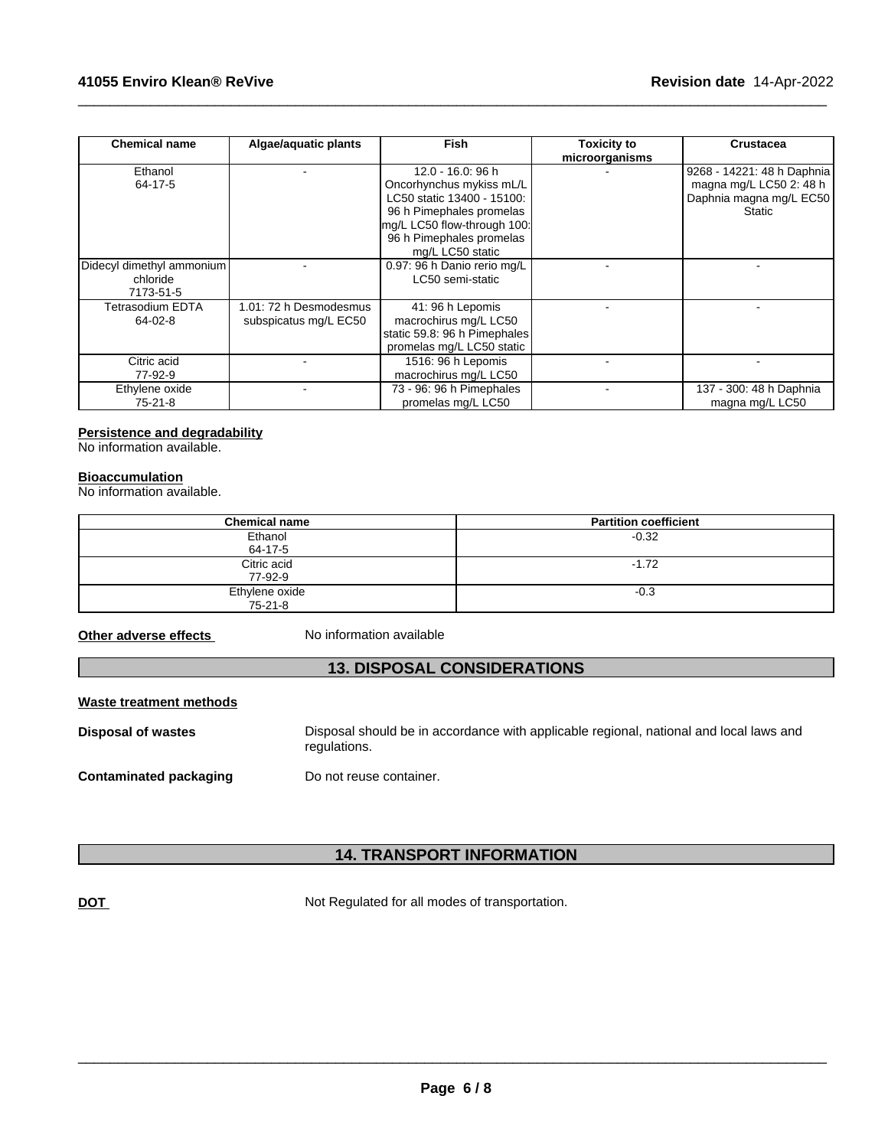| <b>Chemical name</b>      | Algae/aquatic plants   | Fish                         | <b>Toxicity to</b><br>microorganisms | <b>Crustacea</b>           |
|---------------------------|------------------------|------------------------------|--------------------------------------|----------------------------|
| Ethanol                   |                        | 12.0 - 16.0: 96 h            |                                      | 9268 - 14221: 48 h Daphnia |
| 64-17-5                   |                        | Oncorhynchus mykiss mL/L     |                                      | magna mg/L LC50 2: 48 h    |
|                           |                        | LC50 static 13400 - 15100:   |                                      | Daphnia magna mg/L EC50    |
|                           |                        | 96 h Pimephales promelas     |                                      | Static                     |
|                           |                        | mg/L LC50 flow-through 100:  |                                      |                            |
|                           |                        | 96 h Pimephales promelas     |                                      |                            |
|                           |                        | mg/L LC50 static             |                                      |                            |
| Didecyl dimethyl ammonium |                        | 0.97: 96 h Danio rerio mg/L  |                                      |                            |
| chloride                  |                        | LC50 semi-static             |                                      |                            |
| 7173-51-5                 |                        |                              |                                      |                            |
| Tetrasodium EDTA          | 1.01: 72 h Desmodesmus | 41: 96 h Lepomis             |                                      |                            |
| 64-02-8                   | subspicatus mg/L EC50  | macrochirus mg/L LC50        |                                      |                            |
|                           |                        | static 59.8: 96 h Pimephales |                                      |                            |
|                           |                        | promelas mg/L LC50 static    |                                      |                            |
| Citric acid               |                        | 1516: 96 h Lepomis           |                                      |                            |
| 77-92-9                   |                        | macrochirus mg/L LC50        |                                      |                            |
| Ethylene oxide            |                        | 73 - 96: 96 h Pimephales     |                                      | 137 - 300: 48 h Daphnia    |
| $75-21-8$                 |                        | promelas mg/L LC50           |                                      | magna mg/L LC50            |

 $\_$  ,  $\_$  ,  $\_$  ,  $\_$  ,  $\_$  ,  $\_$  ,  $\_$  ,  $\_$  ,  $\_$  ,  $\_$  ,  $\_$  ,  $\_$  ,  $\_$  ,  $\_$  ,  $\_$  ,  $\_$  ,  $\_$  ,  $\_$  ,  $\_$  ,  $\_$  ,  $\_$  ,  $\_$  ,  $\_$  ,  $\_$  ,  $\_$  ,  $\_$  ,  $\_$  ,  $\_$  ,  $\_$  ,  $\_$  ,  $\_$  ,  $\_$  ,  $\_$  ,  $\_$  ,  $\_$  ,  $\_$  ,  $\_$  ,

# **Persistence and degradability**

No information available.

#### **Bioaccumulation**

No information available.

| <b>Chemical name</b> | <b>Partition coefficient</b> |
|----------------------|------------------------------|
| Ethanol              | $-0.32$                      |
| 64-17-5              |                              |
| Citric acid          | $-1.72$                      |
| 77-92-9              |                              |
| Ethylene oxide       | $-0.3$                       |
| 75-21-8              |                              |

**Other adverse effects** No information available

# **13. DISPOSAL CONSIDERATIONS**

## **Waste treatment methods**

**Disposal of wastes** Disposal should be in accordance with applicable regional, national and local laws and regulations. **Contaminated packaging** Do not reuse container.

**14. TRANSPORT INFORMATION**

**DOT** Not Regulated for all modes of transportation.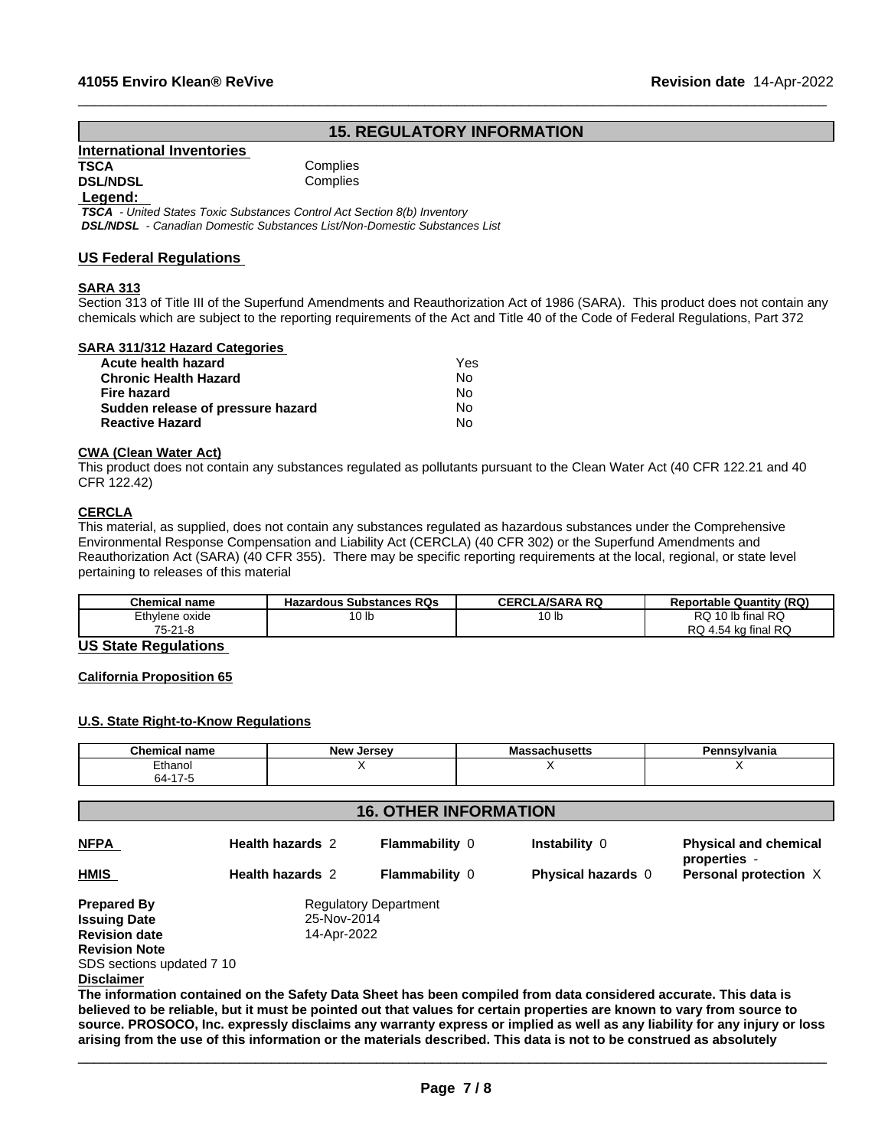# **15. REGULATORY INFORMATION**

 $\_$  ,  $\_$  ,  $\_$  ,  $\_$  ,  $\_$  ,  $\_$  ,  $\_$  ,  $\_$  ,  $\_$  ,  $\_$  ,  $\_$  ,  $\_$  ,  $\_$  ,  $\_$  ,  $\_$  ,  $\_$  ,  $\_$  ,  $\_$  ,  $\_$  ,  $\_$  ,  $\_$  ,  $\_$  ,  $\_$  ,  $\_$  ,  $\_$  ,  $\_$  ,  $\_$  ,  $\_$  ,  $\_$  ,  $\_$  ,  $\_$  ,  $\_$  ,  $\_$  ,  $\_$  ,  $\_$  ,  $\_$  ,  $\_$  ,

# **International Inventories**

**Complies DSL/NDSL** Complies

## **Legend:**

 *TSCA - United States Toxic Substances Control Act Section 8(b) Inventory DSL/NDSL - Canadian Domestic Substances List/Non-Domestic Substances List*

## **US Federal Regulations**

## **SARA 313**

Section 313 of Title III of the Superfund Amendments and Reauthorization Act of 1986 (SARA). This product does not contain any chemicals which are subject to the reporting requirements of the Act and Title 40 of the Code of Federal Regulations, Part 372

## **SARA 311/312 Hazard Categories**

| Acute health hazard               | Yes |  |
|-----------------------------------|-----|--|
| <b>Chronic Health Hazard</b>      | No  |  |
| Fire hazard                       | No  |  |
| Sudden release of pressure hazard | N٥  |  |
| <b>Reactive Hazard</b>            | N٥  |  |

#### **CWA (Clean WaterAct)**

This product does not contain any substances regulated as pollutants pursuant to the Clean Water Act (40 CFR 122.21 and 40 CFR 122.42)

# **CERCLA**

This material, as supplied, does not contain any substances regulated as hazardous substances under the Comprehensive Environmental Response Compensation and Liability Act (CERCLA) (40 CFR 302) or the Superfund Amendments and Reauthorization Act (SARA) (40 CFR 355). There may be specific reporting requirements at the local, regional, or state level pertaining to releases of this material

| <b>Chemical name</b> | <b>Hazardous Substances RQs</b> | <b>LA/SARA RQ</b><br>CERCL | Reportable Quantity (RQ)                 |
|----------------------|---------------------------------|----------------------------|------------------------------------------|
| Ethylene oxide       | 10 <sub>lb</sub>                | או שי                      | 10 lb final RQ<br>D O<br>RU.             |
| 75.04.0<br>'ວ-∠⊺ ö   |                                 |                            | <b>RC</b><br>ı final<br>ຼ+.54 ″ີ<br>74 W |

## **US State Regulations**

## **California Proposition 65**

## **U.S. State Right-to-Know Regulations**

| <b>Chemical name</b> | <b>Now</b><br>Jersev<br>14C | IVIASSACIIUSELLS | vivania<br>. GUU 1 |
|----------------------|-----------------------------|------------------|--------------------|
| Ethanol              |                             |                  |                    |
| $\rightarrow$<br>64  |                             |                  |                    |

| <b>16. OTHER INFORMATION</b> |                              |                       |                                                                                                                  |                                              |  |  |
|------------------------------|------------------------------|-----------------------|------------------------------------------------------------------------------------------------------------------|----------------------------------------------|--|--|
| <b>NFPA</b>                  | <b>Health hazards 2</b>      | <b>Flammability 0</b> | Instability 0                                                                                                    | <b>Physical and chemical</b><br>properties - |  |  |
| <b>HMIS</b>                  | <b>Health hazards 2</b>      | <b>Flammability 0</b> | <b>Physical hazards 0</b>                                                                                        | Personal protection X                        |  |  |
| <b>Prepared By</b>           | <b>Regulatory Department</b> |                       |                                                                                                                  |                                              |  |  |
| <b>Issuing Date</b>          | 25-Nov-2014                  |                       |                                                                                                                  |                                              |  |  |
| <b>Revision date</b>         | 14-Apr-2022                  |                       |                                                                                                                  |                                              |  |  |
| <b>Revision Note</b>         |                              |                       |                                                                                                                  |                                              |  |  |
| SDS sections updated 7 10    |                              |                       |                                                                                                                  |                                              |  |  |
| <b>Disclaimer</b>            |                              |                       |                                                                                                                  |                                              |  |  |
|                              |                              |                       | The information contained on the Safety Data Sheet has been compiled from data considered accurate. This data is |                                              |  |  |
|                              |                              |                       |                                                                                                                  |                                              |  |  |

believed to be reliable, but it must be pointed out that values for certain properties are known to vary from source to source. PROSOCO, Inc. expressly disclaims any warranty express or implied as well as any liability for any injury or loss arising from the use of this information or the materials described. This data is not to be construed as absolutely